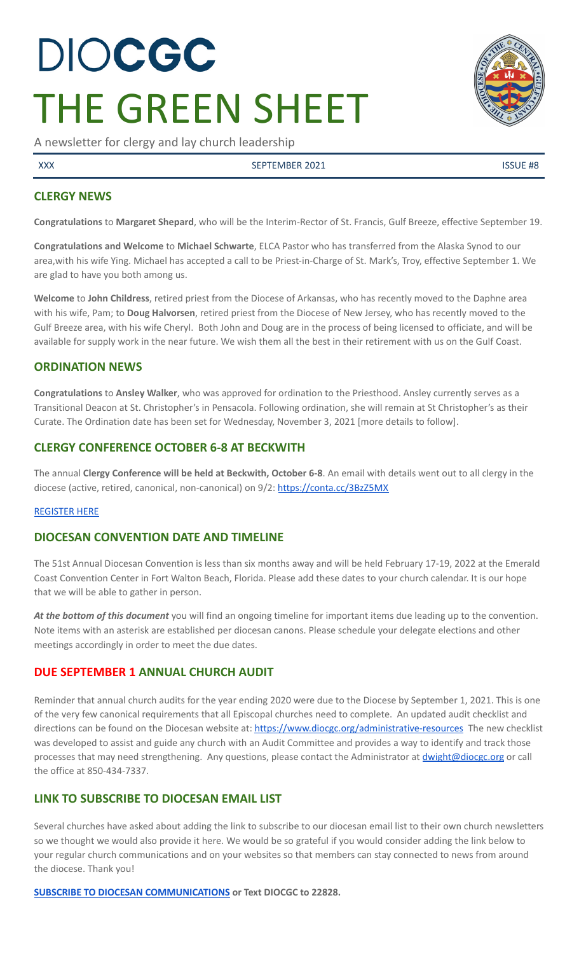# DIOCGC THE GREEN SHEET

A newsletter for clergy and lay church leadership

XXX SEPTEMBER 2021 ISSUE #8

## **CLERGY NEWS**

**Congratulations** to **Margaret Shepard**, who will be the Interim-Rector of St. Francis, Gulf Breeze, effective September 19.

**Congratulations and Welcome** to **Michael Schwarte**, ELCA Pastor who has transferred from the Alaska Synod to our area,with his wife Ying. Michael has accepted a call to be Priest-in-Charge of St. Mark's, Troy, effective September 1. We are glad to have you both among us.

**Welcome** to **John Childress**, retired priest from the Diocese of Arkansas, who has recently moved to the Daphne area with his wife, Pam; to **Doug Halvorsen**, retired priest from the Diocese of New Jersey, who has recently moved to the Gulf Breeze area, with his wife Cheryl. Both John and Doug are in the process of being licensed to officiate, and will be available for supply work in the near future. We wish them all the best in their retirement with us on the Gulf Coast.

## **ORDINATION NEWS**

**Congratulations** to **Ansley Walker**, who was approved for ordination to the Priesthood. Ansley currently serves as a Transitional Deacon at St. Christopher's in Pensacola. Following ordination, she will remain at St Christopher's as their Curate. The Ordination date has been set for Wednesday, November 3, 2021 [more details to follow].

## **CLERGY CONFERENCE OCTOBER 6-8 AT BECKWITH**

The annual **Clergy Conference will be held at Beckwith, October 6-8**. An email with details went out to all clergy in the diocese (active, retired, canonical, non-canonical) on 9/2: <https://conta.cc/3BzZ5MX>

#### [REGISTER](http://events.r20.constantcontact.com/register/event?oeidk=a07eih991qgc0f56435&llr=jtkmfnjab) HERE

# **DIOCESAN CONVENTION DATE AND TIMELINE**

The 51st Annual Diocesan Convention is less than six months away and will be held February 17-19, 2022 at the Emerald Coast Convention Center in Fort Walton Beach, Florida. Please add these dates to your church calendar. It is our hope that we will be able to gather in person.

*At the bottom of this document* you will find an ongoing timeline for important items due leading up to the convention. Note items with an asterisk are established per diocesan canons. Please schedule your delegate elections and other meetings accordingly in order to meet the due dates.

## **DUE SEPTEMBER 1 ANNUAL CHURCH AUDIT**

Reminder that annual church audits for the year ending 2020 were due to the Diocese by September 1, 2021. This is one of the very few canonical requirements that all Episcopal churches need to complete. An updated audit checklist and directions can be found on the Diocesan website at: <https://www.diocgc.org/administrative-resources> The new checklist was developed to assist and guide any church with an Audit Committee and provides a way to identify and track those processes that may need strengthening. Any questions, please contact the Administrator at [dwight@diocgc.org](mailto:dwight@diocgc.org) or call the office at 850-434-7337.

# **LINK TO SUBSCRIBE TO DIOCESAN EMAIL LIST**

Several churches have asked about adding the link to subscribe to our diocesan email list to their own church newsletters so we thought we would also provide it here. We would be so grateful if you would consider adding the link below to your regular church communications and on your websites so that members can stay connected to news from around the diocese. Thank you!

**SUBSCRIBE TO DIOCESAN [COMMUNICATIONS](https://visitor.r20.constantcontact.com/manage/optin?v=001ytzJgXCdPi7CMeRPYjkgWfph8ra8dQJmJ_jgoEJDuFPyjC3HarXiwlhH4JN80K9kNItCddcGgXt-VrglBC4Vvq3YhpG1ym5vnWRlozzk8WJwXJycFplGhx-zzZ96rxkiXY6YLv6vWkWPagBVarHUDKt3SmSUagqj) or Text DIOCGC to 22828.**

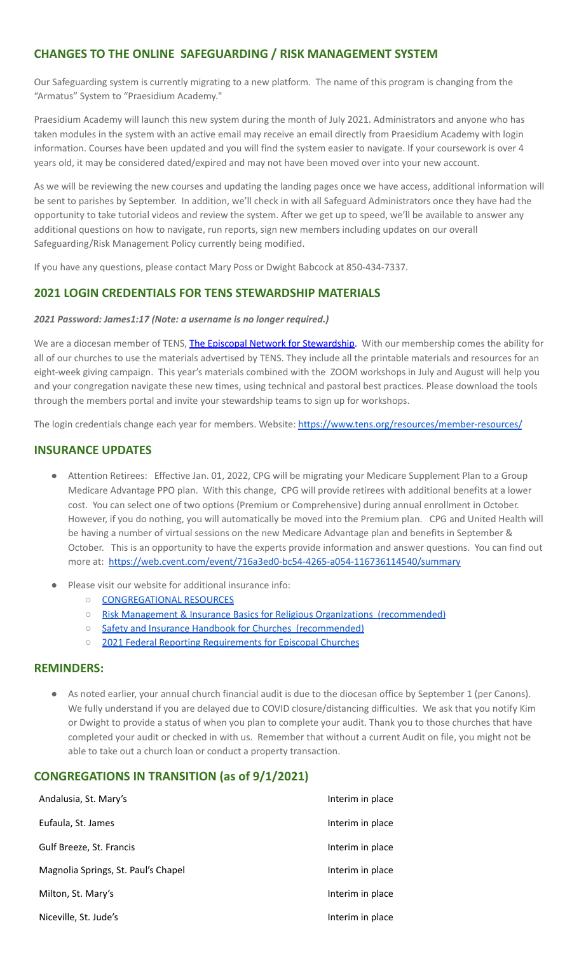# **CHANGES TO THE ONLINE SAFEGUARDING / RISK MANAGEMENT SYSTEM**

Our Safeguarding system is currently migrating to a new platform. The name of this program is changing from the "Armatus" System to "Praesidium Academy."

Praesidium Academy will launch this new system during the month of July 2021. Administrators and anyone who has taken modules in the system with an active email may receive an email directly from Praesidium Academy with login information. Courses have been updated and you will find the system easier to navigate. If your coursework is over 4 years old, it may be considered dated/expired and may not have been moved over into your new account.

As we will be reviewing the new courses and updating the landing pages once we have access, additional information will be sent to parishes by September. In addition, we'll check in with all Safeguard Administrators once they have had the opportunity to take tutorial videos and review the system. After we get up to speed, we'll be available to answer any additional questions on how to navigate, run reports, sign new members including updates on our overall Safeguarding/Risk Management Policy currently being modified.

If you have any questions, please contact Mary Poss or Dwight Babcock at 850-434-7337.

## **2021 LOGIN CREDENTIALS FOR TENS STEWARDSHIP MATERIALS**

#### *2021 Password: James1:17 (Note: a username is no longer required.)*

We are a diocesan member of TENS, The Episcopal Network for [Stewardship.](http://r20.rs6.net/tn.jsp?f=0012pqt_t4bfTKnRF8Xmufb-M4Ry8JkNpVzuf-DfMr466n2fJlrEabEgWXavWDn2Hx3i5ph5cMsQu0KkvBM2IIao7IcazXgBLtGdZrXLuo4poO7i2eq_EiuExGDSC-wd1a3AjKcDRDPj18=&c=9_JBIUfw9Y9WIzA02dVBmW_Dc5eF3SbOEA5-vLB-MbLj0nQWfaMvNg==&ch=bNQQUmRhILUjCbu1RkHCQ0rqqsD1-RBYprcIQ3NuhLlaKPcsXS1TyQ==) With our membership comes the ability for all of our churches to use the materials advertised by TENS. They include all the printable materials and resources for an eight-week giving campaign. This year's materials combined with the ZOOM workshops in July and August will help you and your congregation navigate these new times, using technical and pastoral best practices. Please download the tools through the members portal and invite your stewardship teams to sign up for workshops.

The login credentials change each year for members. Website: <https://www.tens.org/resources/member-resources/>

## **INSURANCE UPDATES**

- Attention Retirees: Effective Jan. 01, 2022, CPG will be migrating your Medicare Supplement Plan to a Group Medicare Advantage PPO plan. With this change, CPG will provide retirees with additional benefits at a lower cost. You can select one of two options (Premium or Comprehensive) during annual enrollment in October. However, if you do nothing, you will automatically be moved into the Premium plan. CPG and United Health will be having a number of virtual sessions on the new Medicare Advantage plan and benefits in September & October. This is an opportunity to have the experts provide information and answer questions. You can find out more at: <https://web.cvent.com/event/716a3ed0-bc54-4265-a054-116736114540/summary>
- Please visit our website for additional insurance info:
	- [CONGREGATIONAL](https://www.diocgc.org/congregational-resources) RESOURCES
	- Risk Management & Insurance Basics for Religious Organizations [\(recommended\)](https://2f23db9c-81c0-437f-88c1-0d3b99fdb03d.filesusr.com/ugd/ca270f_0fc945a39bad470191c4075c97602c08.pdf)
	- Safety and Insurance Handbook for Churches [\(recommended\)](https://2f23db9c-81c0-437f-88c1-0d3b99fdb03d.filesusr.com/ugd/4525a9_6b89020a60b040f49e2f7feb44b56873.pdf)
	- 2021 Federal Reporting [Requirements](https://www.cpg.org/globalassets/documents/publications/tax-2021-federal-reporting-requirements-for-episcopal-churches.pdf) for Episcopal Churches

#### **REMINDERS:**

As noted earlier, your annual church financial audit is due to the diocesan office by September 1 (per Canons). We fully understand if you are delayed due to COVID closure/distancing difficulties. We ask that you notify Kim or Dwight to provide a status of when you plan to complete your audit. Thank you to those churches that have completed your audit or checked in with us. Remember that without a current Audit on file, you might not be able to take out a church loan or conduct a property transaction.

## **CONGREGATIONS IN TRANSITION (as of 9/1/2021)**

| Andalusia, St. Mary's               | Interim in place |
|-------------------------------------|------------------|
| Eufaula, St. James                  | Interim in place |
| Gulf Breeze, St. Francis            | Interim in place |
| Magnolia Springs, St. Paul's Chapel | Interim in place |
| Milton, St. Mary's                  | Interim in place |
| Niceville, St. Jude's               | Interim in place |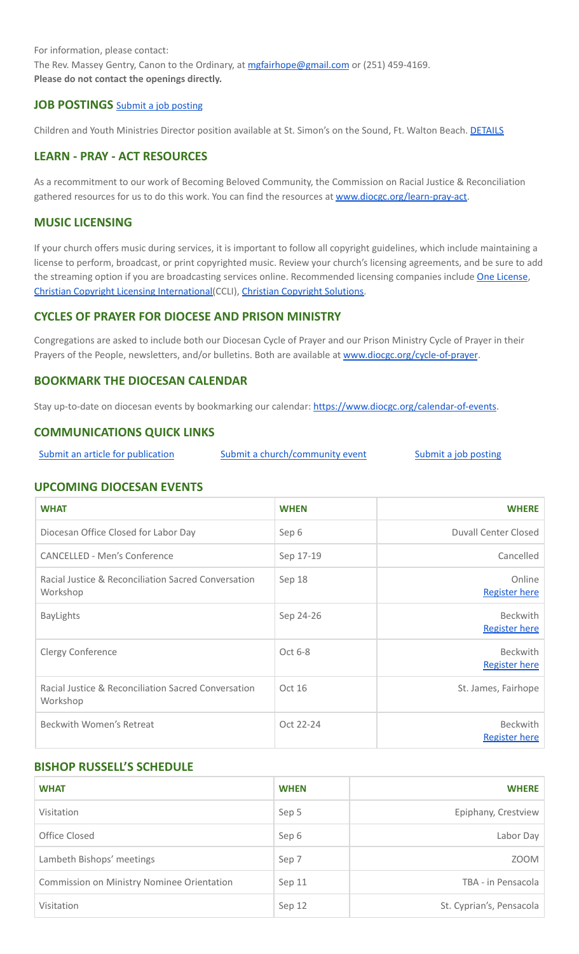For information, please contact: The Rev. Massey Gentry, Canon to the Ordinary, at [mgfairhope@gmail.com](mailto:mgfairhope@gmail.com) or (251) 459-4169. **Please do not contact the openings directly.**

## **JOB POSTINGS** Submit a job [posting](https://www.emailmeform.com/builder/form/0cZqC653GdH24p01aWQDfUh)

Children and Youth Ministries Director position available at St. Simon's on the Sound, Ft. Walton Beach. [DETAILS](https://files.constantcontact.com/77805af7001/88908c0e-ed5d-4e30-9f03-8a2d471f0910.pdf)

#### **LEARN - PRAY - ACT RESOURCES**

As a recommitment to our work of Becoming Beloved Community, the Commission on Racial Justice & Reconciliation gathered resources for us to do this work. You can find the resources at [www.diocgc.org/learn-pray-act.](http://www.diocgcorg/learn-pray-act)

#### **MUSIC LICENSING**

If your church offers music during services, it is important to follow all copyright guidelines, which include maintaining a license to perform, broadcast, or print copyrighted music. Review your church's licensing agreements, and be sure to add the streaming option if you are broadcasting services online. Recommended licensing companies include One [License](https://onelicense.net/), Christian Copyright Licensing [International\(](https://us.ccli.com/)CCLI), Christian [Copyright](https://christiancopyrightsolutions.com/) Solutions.

## **CYCLES OF PRAYER FOR DIOCESE AND PRISON MINISTRY**

Congregations are asked to include both our Diocesan Cycle of Prayer and our Prison Ministry Cycle of Prayer in their Prayers of the People, newsletters, and/or bulletins. Both are available at [www.diocgc.org/cycle-of-prayer](http://www.diocgc.org/cycle-of-prayer).

## **BOOKMARK THE DIOCESAN CALENDAR**

Stay up-to-date on diocesan events by bookmarking our calendar: [https://www.diocgc.org/calendar-of-events.](https://www.diocgc.org/calendar-of-events)

#### **COMMUNICATIONS QUICK LINKS**

Submit an article for [publication](http://www.emailmeform.com/builder/form/XqOP984Ae60c8m6ynr) Submit a [church/community](http://www.emailmeform.com/builder/form/eOM4Bb6VTb78y20Wrapf8) event Submit a job [posting](https://www.emailmeform.com/builder/form/0cZqC653GdH24p01aWQDfUh)

#### **UPCOMING DIOCESAN EVENTS**

| <b>WHAT</b>                                                     | <b>WHEN</b> | <b>WHERE</b>                            |
|-----------------------------------------------------------------|-------------|-----------------------------------------|
| Diocesan Office Closed for Labor Day                            | Sep 6       | <b>Duvall Center Closed</b>             |
| <b>CANCELLED - Men's Conference</b>                             | Sep 17-19   | Cancelled                               |
| Racial Justice & Reconciliation Sacred Conversation<br>Workshop | Sep 18      | Online<br><b>Register here</b>          |
| <b>BayLights</b>                                                | Sep 24-26   | <b>Beckwith</b><br><b>Register here</b> |
| <b>Clergy Conference</b>                                        | Oct 6-8     | <b>Beckwith</b><br><b>Register here</b> |
| Racial Justice & Reconciliation Sacred Conversation<br>Workshop | Oct 16      | St. James, Fairhope                     |
| Beckwith Women's Retreat                                        | Oct 22-24   | <b>Beckwith</b><br><b>Register here</b> |

#### **BISHOP RUSSELL'S SCHEDULE**

| <b>WHAT</b>                                | <b>WHEN</b> | <b>WHERE</b>             |
|--------------------------------------------|-------------|--------------------------|
| Visitation                                 | Sep 5       | Epiphany, Crestview      |
| Office Closed                              | Sep 6       | Labor Day                |
| Lambeth Bishops' meetings                  | Sep 7       | <b>ZOOM</b>              |
| Commission on Ministry Nominee Orientation | Sep 11      | TBA - in Pensacola       |
| Visitation                                 | Sep 12      | St. Cyprian's, Pensacola |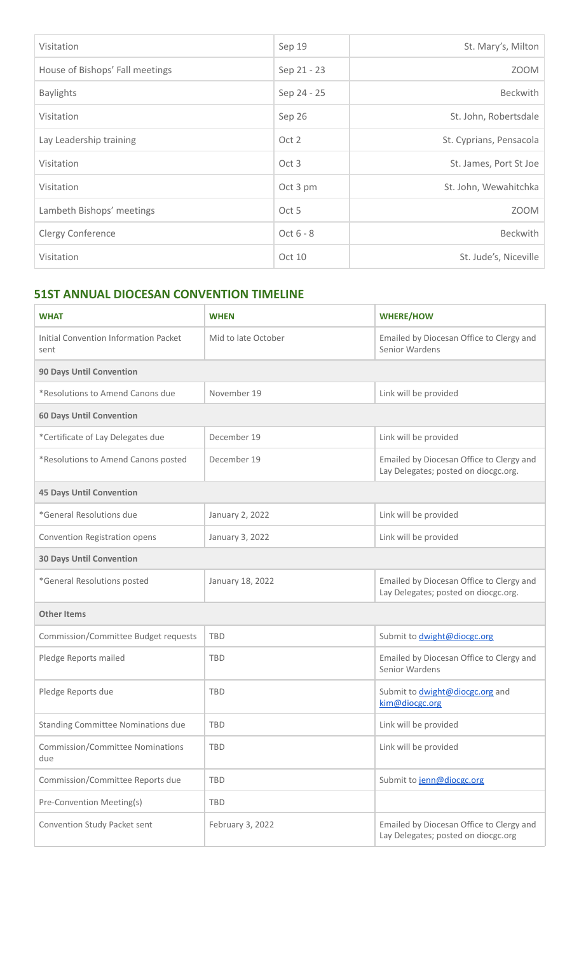| Visitation                      | Sep 19      | St. Mary's, Milton      |
|---------------------------------|-------------|-------------------------|
| House of Bishops' Fall meetings | Sep 21 - 23 | ZOOM                    |
| <b>Baylights</b>                | Sep 24 - 25 | Beckwith                |
| Visitation                      | Sep 26      | St. John, Robertsdale   |
| Lay Leadership training         | Oct 2       | St. Cyprians, Pensacola |
| Visitation                      | Oct 3       | St. James, Port St Joe  |
| Visitation                      | Oct 3 pm    | St. John, Wewahitchka   |
| Lambeth Bishops' meetings       | Oct 5       | <b>ZOOM</b>             |
| Clergy Conference               | Oct 6 - 8   | Beckwith                |
| Visitation                      | Oct 10      | St. Jude's, Niceville   |

# **51ST ANNUAL DIOCESAN CONVENTION TIMELINE**

| <b>WHAT</b>                                    | <b>WHEN</b>         | <b>WHERE/HOW</b>                                                                 |  |
|------------------------------------------------|---------------------|----------------------------------------------------------------------------------|--|
| Initial Convention Information Packet<br>sent  | Mid to late October | Emailed by Diocesan Office to Clergy and<br>Senior Wardens                       |  |
| <b>90 Days Until Convention</b>                |                     |                                                                                  |  |
| *Resolutions to Amend Canons due               | November 19         | Link will be provided                                                            |  |
| <b>60 Days Until Convention</b>                |                     |                                                                                  |  |
| *Certificate of Lay Delegates due              | December 19         | Link will be provided                                                            |  |
| *Resolutions to Amend Canons posted            | December 19         | Emailed by Diocesan Office to Clergy and<br>Lay Delegates; posted on diocgc.org. |  |
| <b>45 Days Until Convention</b>                |                     |                                                                                  |  |
| *General Resolutions due                       | January 2, 2022     | Link will be provided                                                            |  |
| Convention Registration opens                  | January 3, 2022     | Link will be provided                                                            |  |
| <b>30 Days Until Convention</b>                |                     |                                                                                  |  |
| *General Resolutions posted                    | January 18, 2022    | Emailed by Diocesan Office to Clergy and<br>Lay Delegates; posted on diocgc.org. |  |
| <b>Other Items</b>                             |                     |                                                                                  |  |
| Commission/Committee Budget requests           | <b>TBD</b>          | Submit to <b>dwight@diocgc.org</b>                                               |  |
| Pledge Reports mailed                          | <b>TBD</b>          | Emailed by Diocesan Office to Clergy and<br>Senior Wardens                       |  |
| Pledge Reports due                             | <b>TBD</b>          | Submit to <b>dwight@diocgc.org</b> and<br>kim@diocgc.org                         |  |
| <b>Standing Committee Nominations due</b>      | <b>TBD</b>          | Link will be provided                                                            |  |
| <b>Commission/Committee Nominations</b><br>due | <b>TBD</b>          | Link will be provided                                                            |  |
| Commission/Committee Reports due               | <b>TBD</b>          | Submit to jenn@diocgc.org                                                        |  |
| Pre-Convention Meeting(s)                      | <b>TBD</b>          |                                                                                  |  |
| Convention Study Packet sent                   | February 3, 2022    | Emailed by Diocesan Office to Clergy and<br>Lay Delegates; posted on diocgc.org  |  |